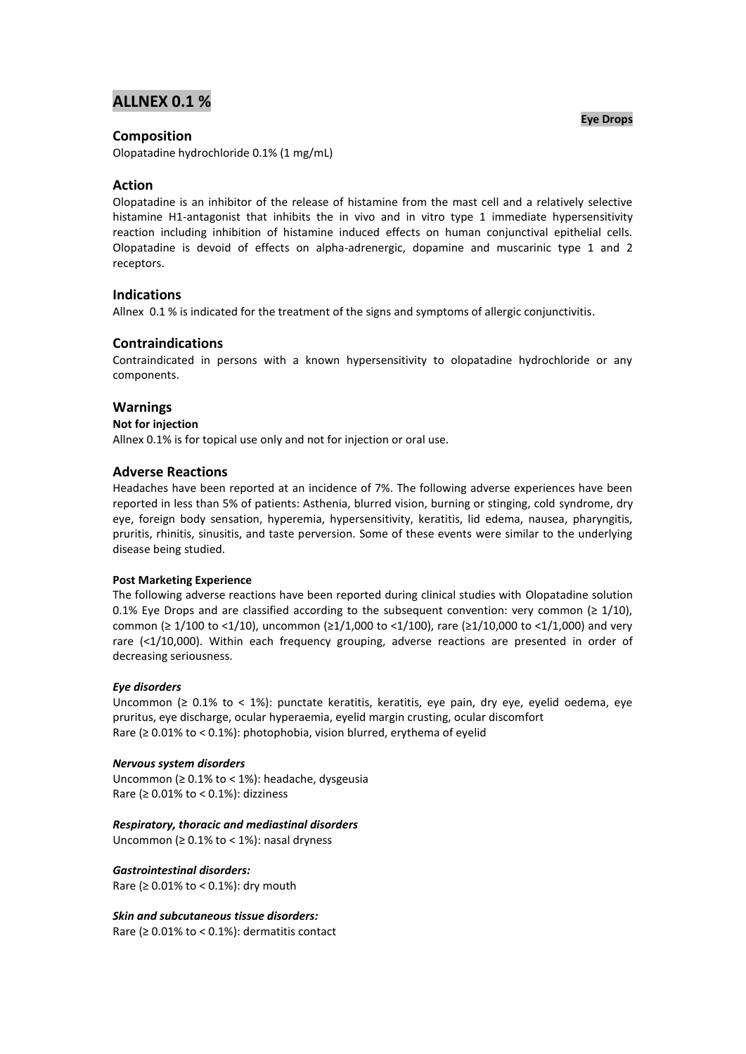# **ALLNEX 0.1 %**

# **Composition**

Olopatadine hydrochloride 0.1% (1 mg/mL)

# **Action**

Olopatadine is an inhibitor of the release of histamine from the mast cell and a relatively selective histamine H1-antagonist that inhibits the in vivo and in vitro type 1 immediate hypersensitivity reaction including inhibition of histamine induced effects on human conjunctival epithelial cells. Olopatadine is devoid of effects on alpha-adrenergic, dopamine and muscarinic type 1 and 2 receptors.

# **Indications**

Allnex 0.1 % is indicated for the treatment of the signs and symptoms of allergic conjunctivitis.

# **Contraindications**

Contraindicated in persons with a known hypersensitivity to olopatadine hydrochloride or any components.

## **Warnings**

#### **Not for injection**

Allnex 0.1% is for topical use only and not for injection or oral use.

## **Adverse Reactions**

Headaches have been reported at an incidence of 7%. The following adverse experiences have been reported in less than 5% of patients: Asthenia, blurred vision, burning or stinging, cold syndrome, dry eye, foreign body sensation, hyperemia, hypersensitivity, keratitis, lid edema, nausea, pharyngitis, pruritis, rhinitis, sinusitis, and taste perversion. Some of these events were similar to the underlying disease being studied.

## **Post Marketing Experience**

The following adverse reactions have been reported during clinical studies with Olopatadine solution 0.1% Eye Drops and are classified according to the subsequent convention: very common ( $\geq$  1/10), common (≥ 1/100 to <1/10), uncommon (≥1/1,000 to <1/100), rare (≥1/10,000 to <1/1,000) and very rare (<1/10,000). Within each frequency grouping, adverse reactions are presented in order of decreasing seriousness.

#### *Eye disorders*

Uncommon (≥ 0.1% to < 1%): punctate keratitis, keratitis, eye pain, dry eye, eyelid oedema, eye pruritus, eye discharge, ocular hyperaemia, eyelid margin crusting, ocular discomfort Rare (≥ 0.01% to < 0.1%): photophobia, vision blurred, erythema of eyelid

#### *Nervous system disorders*

Uncommon (≥ 0.1% to < 1%): headache, dysgeusia Rare ( $\geq 0.01\%$  to < 0.1%): dizziness

#### *Respiratory, thoracic and mediastinal disorders*

Uncommon ( $\geq 0.1\%$  to < 1%): nasal dryness

## *Gastrointestinal disorders:*

Rare ( $\geq 0.01\%$  to < 0.1%): dry mouth

## *Skin and subcutaneous tissue disorders:*

Rare ( $\geq 0.01\%$  to < 0.1%): dermatitis contact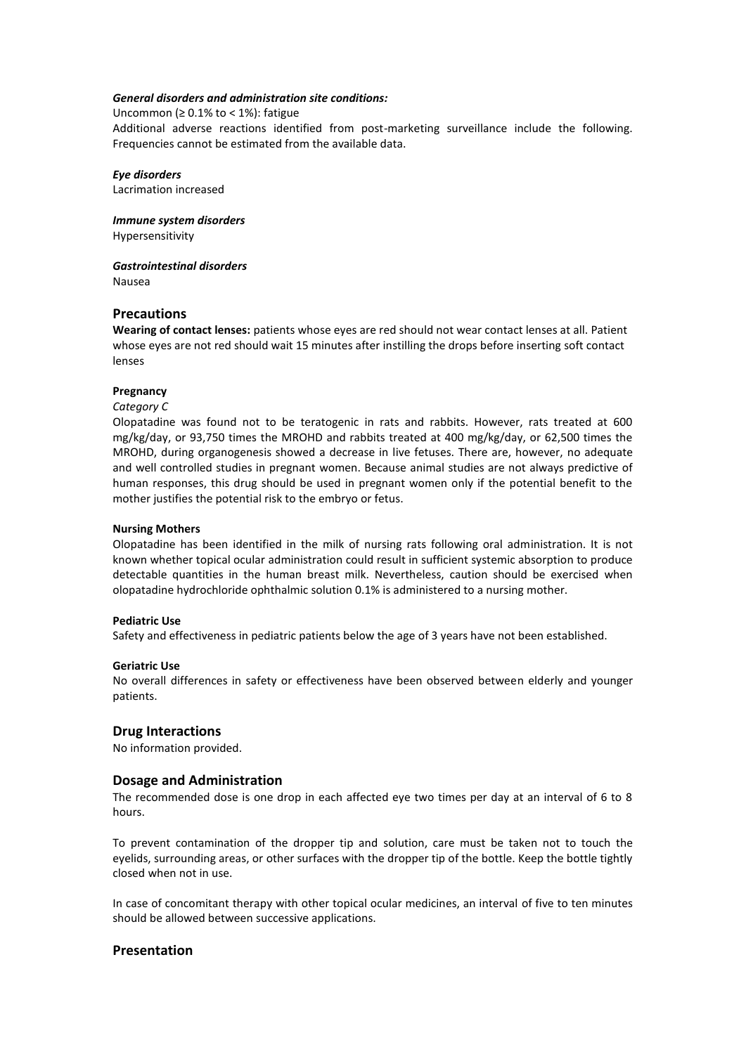#### *General disorders and administration site conditions:*

Uncommon ( $\geq 0.1\%$  to < 1%): fatigue

Additional adverse reactions identified from post-marketing surveillance include the following. Frequencies cannot be estimated from the available data.

*Eye disorders*  Lacrimation increased

*Immune system disorders*  Hypersensitivity

*Gastrointestinal disorders*  Nausea

## **Precautions**

**Wearing of contact lenses:** patients whose eyes are red should not wear contact lenses at all. Patient whose eyes are not red should wait 15 minutes after instilling the drops before inserting soft contact lenses

## **Pregnancy**

#### *Category C*

Olopatadine was found not to be teratogenic in rats and rabbits. However, rats treated at 600 mg/kg/day, or 93,750 times the MROHD and rabbits treated at 400 mg/kg/day, or 62,500 times the MROHD, during organogenesis showed a decrease in live fetuses. There are, however, no adequate and well controlled studies in pregnant women. Because animal studies are not always predictive of human responses, this drug should be used in pregnant women only if the potential benefit to the mother justifies the potential risk to the embryo or fetus.

#### **Nursing Mothers**

Olopatadine has been identified in the milk of nursing rats following oral administration. It is not known whether topical ocular administration could result in sufficient systemic absorption to produce detectable quantities in the human breast milk. Nevertheless, caution should be exercised when olopatadine hydrochloride ophthalmic solution 0.1% is administered to a nursing mother.

#### **Pediatric Use**

Safety and effectiveness in pediatric patients below the age of 3 years have not been established.

#### **Geriatric Use**

No overall differences in safety or effectiveness have been observed between elderly and younger patients.

## **Drug Interactions**

No information provided.

## **Dosage and Administration**

The recommended dose is one drop in each affected eye two times per day at an interval of 6 to 8 hours.

To prevent contamination of the dropper tip and solution, care must be taken not to touch the eyelids, surrounding areas, or other surfaces with the dropper tip of the bottle. Keep the bottle tightly closed when not in use.

In case of concomitant therapy with other topical ocular medicines, an interval of five to ten minutes should be allowed between successive applications.

## **Presentation**